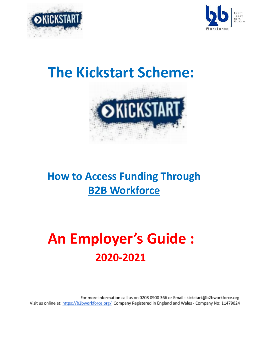



## **The Kickstart Scheme:**



### **How to Access Funding Through B2B Workforce**

# **An Employer's Guide : 2020-2021**

For more information call us on 0208 0900 366 or Email : kickstart@b2bworkforce.org Visit us online at: https://b2bworkforce.org/ Company Registered in England and Wales - Company No: 11479024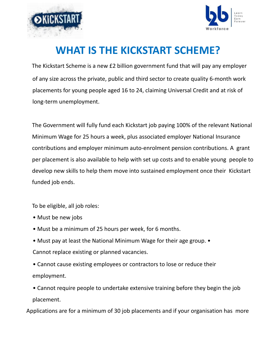



#### **WHAT IS THE KICKSTART SCHEME?**

The Kickstart Scheme is a new £2 billion government fund that will pay any employer of any size across the private, public and third sector to create quality 6-month work placements for young people aged 16 to 24, claiming Universal Credit and at risk of long-term unemployment.

The Government will fully fund each Kickstart job paying 100% of the relevant National Minimum Wage for 25 hours a week, plus associated employer National Insurance contributions and employer minimum auto-enrolment pension contributions. A grant per placement is also available to help with set up costs and to enable young people to develop new skills to help them move into sustained employment once their Kickstart funded job ends.

To be eligible, all job roles:

- Must be new jobs
- Must be a minimum of 25 hours per week, for 6 months.
- Must pay at least the National Minimum Wage for their age group. Cannot replace existing or planned vacancies.
- Cannot cause existing employees or contractors to lose or reduce their employment.
- Cannot require people to undertake extensive training before they begin the job placement.

Applications are for a minimum of 30 job placements and if your organisation has more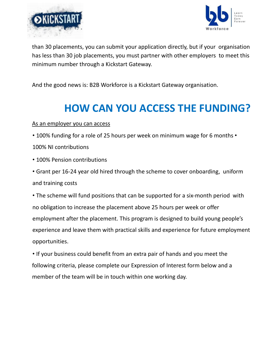



than 30 placements, you can submit your application directly, but if your organisation has less than 30 job placements, you must partner with other employers to meet this minimum number through a Kickstart Gateway.

And the good news is: B2B Workforce is a Kickstart Gateway organisation.

### **HOW CAN YOU ACCESS THE FUNDING?**

#### As an employer you can access

- 100% funding for a role of 25 hours per week on minimum wage for 6 months •
- 100% NI contributions
- 100% Pension contributions
- Grant per 16-24 year old hired through the scheme to cover onboarding, uniform and training costs

• The scheme will fund positions that can be supported for a six-month period with no obligation to increase the placement above 25 hours per week or offer employment after the placement. This program is designed to build young people's experience and leave them with practical skills and experience for future employment opportunities.

• If your business could benefit from an extra pair of hands and you meet the following criteria, please complete our Expression of Interest form below and a member of the team will be in touch within one working day.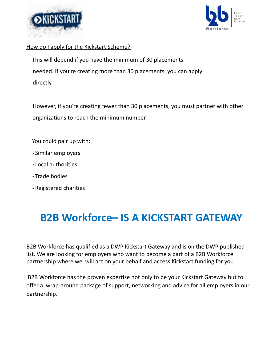



#### How do I apply for the Kickstart Scheme?

This will depend if you have the minimum of 30 placements needed. If you're creating more than 30 placements, you can apply directly.

However, if you're creating fewer than 30 placements, you must partner with other organizations to reach the minimum number.

You could pair up with:

- Similar employers
- Local authorities
- Trade bodies
- Registered charities

#### **B2B Workforce– IS A KICKSTART GATEWAY**

B2B Workforce has qualified as a DWP Kickstart Gateway and is on the DWP published list. We are looking for employers who want to become a part of a B2B Workforce partnership where we will act on your behalf and access Kickstart funding for you.

B2B Workforce has the proven expertise not only to be your Kickstart Gateway but to offer a wrap-around package of support, networking and advice for all employers in our partnership.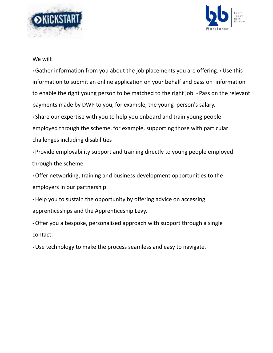



We will:

• Gather information from you about the job placements you are offering. • Use this information to submit an online application on your behalf and pass on information to enable the right young person to be matched to the right job. • Pass on the relevant payments made by DWP to you, for example, the young person's salary.

• Share our expertise with you to help you onboard and train young people employed through the scheme, for example, supporting those with particular challenges including disabilities

• Provide employability support and training directly to young people employed through the scheme.

• Offer networking, training and business development opportunities to the employers in our partnership.

• Help you to sustain the opportunity by offering advice on accessing apprenticeships and the Apprenticeship Levy.

• Offer you a bespoke, personalised approach with support through a single contact.

• Use technology to make the process seamless and easy to navigate.